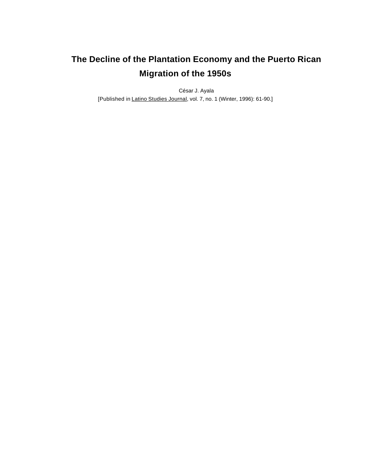# **The Decline of the Plantation Economy and the Puerto Rican Migration of the 1950s**

César J. Ayala [Published in Latino Studies Journal, vol. 7, no. 1 (Winter, 1996): 61-90.]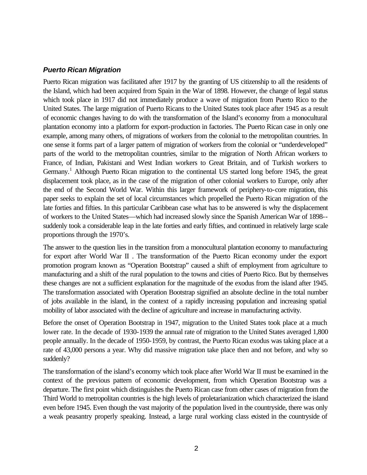#### *Puerto Rican Migration*

Puerto Rican migration was facilitated after 1917 by the granting of US citizenship to all the residents of the Island, which had been acquired from Spain in the War of 1898. However, the change of legal status which took place in 1917 did not immediately produce a wave of migration from Puerto Rico to the United States. The large migration of Puerto Ricans to the United States took place after 1945 as a result of economic changes having to do with the transformation of the Island's economy from a monocultural plantation economy into a platform for export-production in factories. The Puerto Rican case in only one example, among many others, of migrations of workers from the colonial to the metropolitan countries. In one sense it forms part of a larger pattern of migration of workers from the colonial or "underdeveloped" parts of the world to the metropolitan countries, similar to the migration of North African workers to France, of Indian, Pakistani and West Indian workers to Great Britain, and of Turkish workers to Germany.<sup>1</sup> Although Puerto Rican migration to the continental US started long before 1945, the great displacement took place, as in the case of the migration of other colonial workers to Europe, only after the end of the Second World War. Within this larger framework of periphery-to-core migration, this paper seeks to explain the set of local circumstances which propelled the Puerto Rican migration of the late forties and fifties. In this particular Caribbean case what has to be answered is why the displacement of workers to the United States—which had increased slowly since the Spanish American War of 1898- suddenly took a considerable leap in the late forties and early fifties, and continued in relatively large scale proportions through the 1970's.

The answer to the question lies in the transition from a monocultural plantation economy to manufacturing for export after World War II . The transformation of the Puerto Rican economy under the export promotion program known as "Operation Bootstrap" caused a shift of employment from agriculture to manufacturing and a shift of the rural population to the towns and cities of Puerto Rico. But by themselves these changes are not a sufficient explanation for the magnitude of the exodus from the island after 1945. The transformation associated with Operation Bootstrap signified an absolute decline in the total number of jobs available in the island, in the context of a rapidly increasing population and increasing spatial mobility of labor associated with the decline of agriculture and increase in manufacturing activity.

Before the onset of Operation Bootstrap in 1947, migration to the United States took place at a much lower rate. In the decade of 1930-1939 the annual rate of migration to the United States averaged 1,800 people annually. In the decade of 1950-1959, by contrast, the Puerto Rican exodus was taking place at a rate of 43,000 persons a year. Why did massive migration take place then and not before, and why so suddenly?

The transformation of the island's economy which took place after World War II must be examined in the context of the previous pattern of economic development, from which Operation Bootstrap was a departure. The first point which distinguishes the Puerto Rican case from other cases of migration from the Third World to metropolitan countries is the high levels of proletarianization which characterized the island even before 1945. Even though the vast majority of the population lived in the countryside, there was only a weak peasantry properly speaking. Instead, a large rural working class existed in the countryside of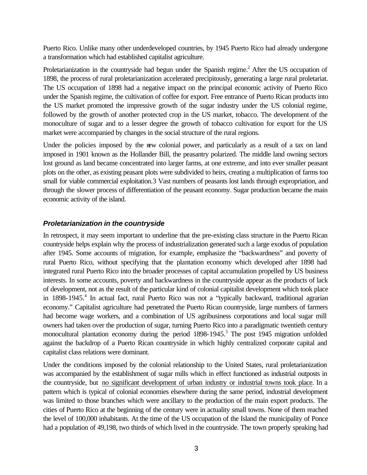Puerto Rico. Unlike many other underdeveloped countries, by 1945 Puerto Rico had already undergone a transformation which had established capitalist agriculture.

Proletarianization in the countryside had begun under the Spanish regime.<sup>2</sup> After the US occupation of 1898, the process of rural proletarianization accelerated precipitously, generating a large rural proletariat. The US occupation of 1898 had a negative impact on the principal economic activity of Puerto Rico under the Spanish regime, the cultivation of coffee for export. Free entrance of Puerto Rican products into the US market promoted the impressive growth of the sugar industry under the US colonial regime, followed by the growth of another protected crop in the US market, tobacco. The development of the monoculture of sugar and to a lesser degree the growth of tobacco cultivation for export for the US market were accompanied by changes in the social structure of the rural regions.

Under the policies imposed by the new colonial power, and particularly as a result of a tax on land imposed in 1901 known as the Hollander Bill, the peasantry polarized. The middle land owning sectors lost ground as land became concentrated into larger farms, at one extreme, and into ever smaller peasant plots on the other, as existing peasant plots were subdivided to heirs, creating a multiplication of farms too small for viable commercial exploitation.3 Vast numbers of peasants lost lands through expropriation, and through the slower process of differentiation of the peasant economy. Sugar production became the main economic activity of the island.

# *Proletarianization in the countryside*

In retrospect, it may seem important to underline that the pre-existing class structure in the Puerto Rican countryside helps explain why the process of industrialization generated such a large exodus of population after 1945. Some accounts of migration, for example, emphasize the "backwardness" and poverty of rural Puerto Rico, without specifying that the plantation economy which developed after 1898 had integrated rural Puerto Rico into the broader processes of capital accumulation propelled by US business interests. In some accounts, poverty and backwardness in the countryside appear as the products of lack of development, not as the result of the particular kind of colonial capitalist development which took place in 1898-1945.<sup>4</sup> In actual fact, rural Puerto Rico was not a "typically backward, traditional agrarian economy." Capitalist agriculture had penetrated the Puerto Rican countryside, large numbers of farmers had become wage workers, and a combination of US agribusiness corporations and local sugar mill owners had taken over the production of sugar, turning Puerto Rico into a paradigmatic twentieth century monocultural plantation economy during the period 1898-1945.<sup>5</sup> The post 1945 migration unfolded against the backdrop of a Puerto Rican countryside in which highly centralized corporate capital and capitalist class relations were dominant.

Under the conditions imposed by the colonial relationship to the United States, rural proletarianization was accompanied by the establishment of sugar mills which in effect functioned as industrial outposts in the countryside, but no significant development of urban industry or industrial towns took place. In a pattern which is typical of colonial economies elsewhere during the same period, industrial development was limited to those branches which were ancillary to the production of the main export products. The cities of Puerto Rico at the beginning of the century were in actuality small towns. None of them reached the level of 100,000 inhabitants. At the time of the US occupation of the Island the municipality of Ponce had a population of 49,198, two thirds of which lived in the countryside. The town properly speaking had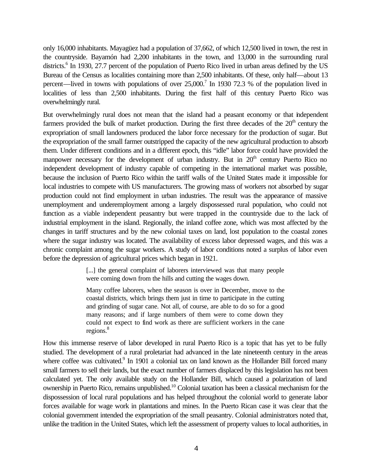only 16,000 inhabitants. Mayagüez had a population of 37,662, of which 12,500 lived in town, the rest in the countryside. Bayamón had 2,200 inhabitants in the town, and 13,000 in the surrounding rural districts.<sup>6</sup> In 1930, 27.7 percent of the population of Puerto Rico lived in urban areas defined by the US Bureau of the Census as localities containing more than 2,500 inhabitants. Of these, only half—about 13 percent—lived in towns with populations of over  $25,000$ .<sup>7</sup> In 1930 72.3 % of the population lived in localities of less than 2,500 inhabitants. During the first half of this century Puerto Rico was overwhelmingly rural.

But overwhelmingly rural does not mean that the island had a peasant economy or that independent farmers provided the bulk of market production. During the first three decades of the 20<sup>th</sup> century the expropriation of small landowners produced the labor force necessary for the production of sugar. But the expropriation of the small farmer outstripped the capacity of the new agricultural production to absorb them. Under different conditions and in a different epoch, this "idle" labor force could have provided the manpower necessary for the development of urban industry. But in  $20<sup>th</sup>$  century Puerto Rico no independent development of industry capable of competing in the international market was possible, because the inclusion of Puerto Rico within the tariff walls of the United States made it impossible for local industries to compete with US manufacturers. The growing mass of workers not absorbed by sugar production could not find employment in urban industries. The result was the appearance of massive unemployment and underemployment among a largely dispossessed rural population, who could not function as a viable independent peasantry but were trapped in the countryside due to the lack of industrial employment in the island. Regionally, the inland coffee zone, which was most affected by the changes in tariff structures and by the new colonial taxes on land, lost population to the coastal zones where the sugar industry was located. The availability of excess labor depressed wages, and this was a chronic complaint among the sugar workers. A study of labor conditions noted a surplus of labor even before the depression of agricultural prices which began in 1921.

> [...] the general complaint of laborers interviewed was that many people were coming down from the hills and cutting the wages down.

> Many coffee laborers, when the season is over in December, move to the coastal districts, which brings them just in time to participate in the cutting and grinding of sugar cane. Not all, of course, are able to do so for a good many reasons; and if large numbers of them were to come down they could not expect to find work as there are sufficient workers in the cane regions.<sup>8</sup>

How this immense reserve of labor developed in rural Puerto Rico is a topic that has yet to be fully studied. The development of a rural proletariat had advanced in the late nineteenth century in the areas where coffee was cultivated.<sup>9</sup> In 1901 a colonial tax on land known as the Hollander Bill forced many small farmers to sell their lands, but the exact number of farmers displaced by this legislation has not been calculated yet. The only available study on the Hollander Bill, which caused a polarization of land ownership in Puerto Rico, remains unpublished.<sup>10</sup> Colonial taxation has been a classical mechanism for the dispossession of local rural populations and has helped throughout the colonial world to generate labor forces available for wage work in plantations and mines. In the Puerto Rican case it was clear that the colonial government intended the expropriation of the small peasantry. Colonial administrators noted that, unlike the tradition in the United States, which left the assessment of property values to local authorities, in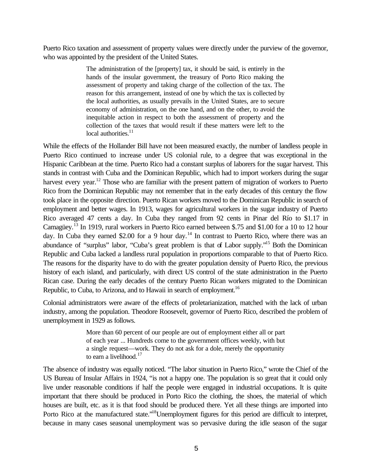Puerto Rico taxation and assessment of property values were directly under the purview of the governor, who was appointed by the president of the United States.

> The administration of the [property] tax, it should be said, is entirely in the hands of the insular government, the treasury of Porto Rico making the assessment of property and taking charge of the collection of the tax. The reason for this arrangement, instead of one by which the tax is collected by the local authorities, as usually prevails in the United States, are to secure economy of administration, on the one hand, and on the other, to avoid the inequitable action in respect to both the assessment of property and the collection of the taxes that would result if these matters were left to the local authorities.<sup>11</sup>

While the effects of the Hollander Bill have not been measured exactly, the number of landless people in Puerto Rico continued to increase under US colonial rule, to a degree that was exceptional in the Hispanic Caribbean at the time. Puerto Rico had a constant surplus of laborers for the sugar harvest. This stands in contrast with Cuba and the Dominican Republic, which had to import workers during the sugar harvest every year.<sup>12</sup> Those who are familiar with the present pattern of migration of workers to Puerto Rico from the Dominican Republic may not remember that in the early decades of this century the flow took place in the opposite direction. Puerto Rican workers moved to the Dominican Republic in search of employment and better wages. In 1913, wages for agricultural workers in the sugar industry of Puerto Rico averaged 47 cents a day. In Cuba they ranged from 92 cents in Pinar del Río to \$1.17 in Camagüey.<sup>13</sup> In 1919, rural workers in Puerto Rico earned between \$.75 and \$1.00 for a 10 to 12 hour day. In Cuba they earned \$2.00 for a 9 hour day.<sup>14</sup> In contrast to Puerto Rico, where there was an abundance of "surplus" labor, "Cuba's great problem is that of Labor supply."<sup>15</sup> Both the Dominican Republic and Cuba lacked a landless rural population in proportions comparable to that of Puerto Rico. The reasons for the disparity have to do with the greater population density of Puerto Rico, the previous history of each island, and particularly, with direct US control of the state administration in the Puerto Rican case. During the early decades of the century Puerto Rican workers migrated to the Dominican Republic, to Cuba, to Arizona, and to Hawaii in search of employment.<sup>16</sup>

Colonial administrators were aware of the effects of proletarianization, matched with the lack of urban industry, among the population. Theodore Roosevelt, governor of Puerto Rico, described the problem of unemployment in 1929 as follows.

> More than 60 percent of our people are out of employment either all or part of each year ... Hundreds come to the government offices weekly, with but a single request—work. They do not ask for a dole, merely the opportunity to earn a livelihood.<sup>17</sup>

The absence of industry was equally noticed. "The labor situation in Puerto Rico," wrote the Chief of the US Bureau of Insular Affairs in 1924, "is not a happy one. The population is so great that it could only live under reasonable conditions if half the people were engaged in industrial occupations. It is quite important that there should be produced in Porto Rico the clothing, the shoes, the material of which houses are built, etc. as it is that food should be produced there. Yet all these things are imported into Porto Rico at the manufactured state."<sup>18</sup>Unemployment figures for this period are difficult to interpret, because in many cases seasonal unemployment was so pervasive during the idle season of the sugar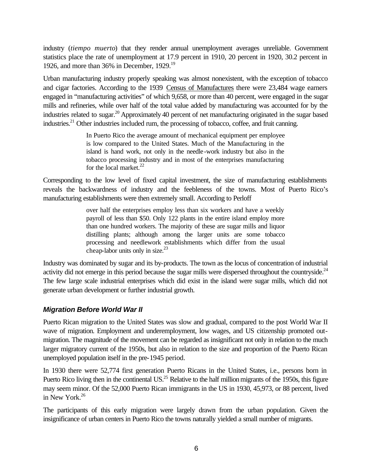industry (*tiempo muerto*) that they render annual unemployment averages unreliable. Government statistics place the rate of unemployment at 17.9 percent in 1910, 20 percent in 1920, 30.2 percent in 1926, and more than 36% in December, 1929.<sup>19</sup>

Urban manufacturing industry properly speaking was almost nonexistent, with the exception of tobacco and cigar factories. According to the 1939 Census of Manufactures there were 23,484 wage earners engaged in "manufacturing activities" of which 9,658, or more than 40 percent, were engaged in the sugar mills and refineries, while over half of the total value added by manufacturing was accounted for by the industries related to sugar.<sup>20</sup> Approximately 40 percent of net manufacturing originated in the sugar based industries.<sup>21</sup> Other industries included rum, the processing of tobacco, coffee, and fruit canning.

> In Puerto Rico the average amount of mechanical equipment per employee is low compared to the United States. Much of the Manufacturing in the island is hand work, not only in the needle-work industry but also in the tobacco processing industry and in most of the enterprises manufacturing for the local market. $^{22}$

Corresponding to the low level of fixed capital investment, the size of manufacturing establishments reveals the backwardness of industry and the feebleness of the towns. Most of Puerto Rico's manufacturing establishments were then extremely small. According to Perloff

> over half the enterprises employ less than six workers and have a weekly payroll of less than \$50. Only 122 plants in the entire island employ more than one hundred workers. The majority of these are sugar mills and liquor distilling plants; although among the larger units are some tobacco processing and needlework establishments which differ from the usual cheap-labor units only in size. $23$

Industry was dominated by sugar and its by-products. The town as the locus of concentration of industrial activity did not emerge in this period because the sugar mills were dispersed throughout the countryside.<sup>24</sup> The few large scale industrial enterprises which did exist in the island were sugar mills, which did not generate urban development or further industrial growth.

# *Migration Before World War II*

Puerto Rican migration to the United States was slow and gradual, compared to the post World War II wave of migration. Employment and underemployment, low wages, and US citizenship promoted outmigration. The magnitude of the movement can be regarded as insignificant not only in relation to the much larger migratory current of the 1950s, but also in relation to the size and proportion of the Puerto Rican unemployed population itself in the pre-1945 period.

In 1930 there were 52,774 first generation Puerto Ricans in the United States, i.e., persons born in Puerto Rico living then in the continental US.<sup>25</sup> Relative to the half million migrants of the 1950s, this figure may seem minor. Of the 52,000 Puerto Rican immigrants in the US in 1930, 45,973, or 88 percent, lived in New York.<sup>26</sup>

The participants of this early migration were largely drawn from the urban population. Given the insignificance of urban centers in Puerto Rico the towns naturally yielded a small number of migrants.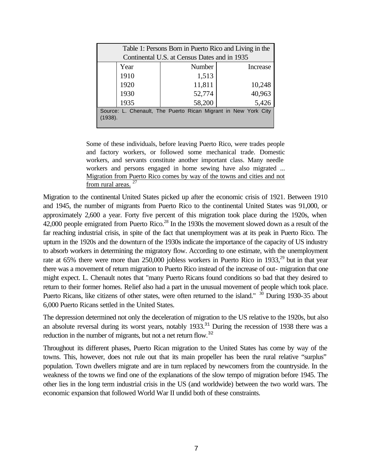| Table 1: Persons Born in Puerto Rico and Living in the         |                                              |          |  |  |  |  |  |
|----------------------------------------------------------------|----------------------------------------------|----------|--|--|--|--|--|
|                                                                | Continental U.S. at Census Dates and in 1935 |          |  |  |  |  |  |
| Year                                                           | Number                                       | Increase |  |  |  |  |  |
| 1910                                                           | 1,513                                        |          |  |  |  |  |  |
| 1920                                                           | 11,811                                       | 10,248   |  |  |  |  |  |
| 1930                                                           | 52,774                                       | 40,963   |  |  |  |  |  |
| 1935                                                           | 58,200                                       | 5,426    |  |  |  |  |  |
| Source: L. Chenault, The Puerto Rican Migrant in New York City |                                              |          |  |  |  |  |  |
| (1938).                                                        |                                              |          |  |  |  |  |  |

Some of these individuals, before leaving Puerto Rico, were trades people and factory workers, or followed some mechanical trade. Domestic workers, and servants constitute another important class. Many needle workers and persons engaged in home sewing have also migrated ... Migration from Puerto Rico comes by way of the towns and cities and not from rural areas. <sup>27</sup>

Migration to the continental United States picked up after the economic crisis of 1921. Between 1910 and 1945, the number of migrants from Puerto Rico to the continental United States was 91,000, or approximately 2,600 a year. Forty five percent of this migration took place during the 1920s, when 42,000 people emigrated from Puerto Rico.<sup>28</sup> In the 1930s the movement slowed down as a result of the far reaching industrial crisis, in spite of the fact that unemployment was at its peak in Puerto Rico. The upturn in the 1920s and the downturn of the 1930s indicate the importance of the capacity of US industry to absorb workers in determining the migratory flow. According to one estimate, with the unemployment rate at 65% there were more than 250,000 jobless workers in Puerto Rico in 1933,<sup>29</sup> but in that year there was a movement of return migration to Puerto Rico instead of the increase of out- migration that one might expect. L. Chenault notes that "many Puerto Ricans found conditions so bad that they desired to return to their former homes. Relief also had a part in the unusual movement of people which took place. Puerto Ricans, like citizens of other states, were often returned to the island." <sup>30</sup> During 1930-35 about 6,000 Puerto Ricans settled in the United States.

The depression determined not only the deceleration of migration to the US relative to the 1920s, but also an absolute reversal during its worst years, notably 1933.<sup>31</sup> During the recession of 1938 there was a reduction in the number of migrants, but not a net return flow.<sup>32</sup>

Throughout its different phases, Puerto Rican migration to the United States has come by way of the towns. This, however, does not rule out that its main propeller has been the rural relative "surplus" population. Town dwellers migrate and are in turn replaced by newcomers from the countryside. In the weakness of the towns we find one of the explanations of the slow tempo of migration before 1945. The other lies in the long term industrial crisis in the US (and worldwide) between the two world wars. The economic expansion that followed World War II undid both of these constraints.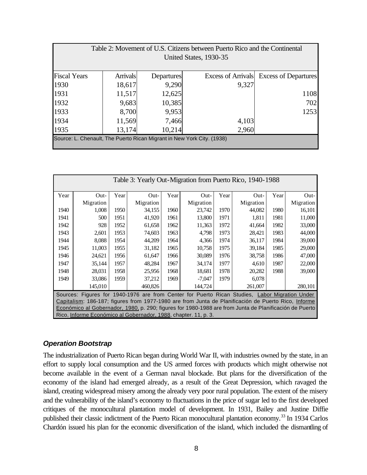| Table 2: Movement of U.S. Citizens between Puerto Rico and the Continental |                 |            |                           |                             |  |  |  |  |
|----------------------------------------------------------------------------|-----------------|------------|---------------------------|-----------------------------|--|--|--|--|
| United States, 1930-35                                                     |                 |            |                           |                             |  |  |  |  |
|                                                                            |                 |            |                           |                             |  |  |  |  |
| <b>Fiscal Years</b>                                                        | <b>Arrivals</b> | Departures | <b>Excess of Arrivals</b> | <b>Excess of Departures</b> |  |  |  |  |
| 1930                                                                       | 18,617          | 9,290      | 9,327                     |                             |  |  |  |  |
| 1931                                                                       | 11,517          | 12,625     |                           | 1108                        |  |  |  |  |
| 1932                                                                       | 9,683           | 10,385     |                           | 702                         |  |  |  |  |
| 1933                                                                       | 8,700           | 9,953      |                           | 1253                        |  |  |  |  |
| 1934                                                                       | 11,569          | 7,466      | 4,103                     |                             |  |  |  |  |
| 1935                                                                       | 13,174          | 10,214     | 2,960                     |                             |  |  |  |  |
| Source: L. Chenault, The Puerto Rican Migrant in New York City. (1938)     |                 |            |                           |                             |  |  |  |  |
|                                                                            |                 |            |                           |                             |  |  |  |  |

| Table 3: Yearly Out-Migration from Puerto Rico, 1940-1988                                              |           |      |           |      |           |      |           |      |           |
|--------------------------------------------------------------------------------------------------------|-----------|------|-----------|------|-----------|------|-----------|------|-----------|
| Year                                                                                                   | $Out-$    | Year | $Out-$    | Year | $Out-$    | Year | Out-      | Year | $Out-$    |
|                                                                                                        | Migration |      | Migration |      | Migration |      | Migration |      | Migration |
| 1940                                                                                                   | 1.008     | 1950 | 34,155    | 1960 | 23,742    | 1970 | 44,082    | 1980 | 16,101    |
| 1941                                                                                                   | 500       | 1951 | 41,920    | 1961 | 13,800    | 1971 | 1,811     | 1981 | 11,000    |
| 1942                                                                                                   | 928       | 1952 | 61,658    | 1962 | 11,363    | 1972 | 41,664    | 1982 | 33,000    |
| 1943                                                                                                   | 2,601     | 1953 | 74,603    | 1963 | 4,798     | 1973 | 28,421    | 1983 | 44,000    |
| 1944                                                                                                   | 8,088     | 1954 | 44,209    | 1964 | 4,366     | 1974 | 36,117    | 1984 | 39,000    |
| 1945                                                                                                   | 11,003    | 1955 | 31,182    | 1965 | 10,758    | 1975 | 39,184    | 1985 | 29,000    |
| 1946                                                                                                   | 24,621    | 1956 | 61,647    | 1966 | 30,089    | 1976 | 38,758    | 1986 | 47,000    |
| 1947                                                                                                   | 35,144    | 1957 | 48,284    | 1967 | 34,174    | 1977 | 4,610     | 1987 | 22,000    |
| 1948                                                                                                   | 28,031    | 1958 | 25,956    | 1968 | 18,681    | 1978 | 20,282    | 1988 | 39,000    |
| 1949                                                                                                   | 33,086    | 1959 | 37,212    | 1969 | $-7,047$  | 1979 | 6,078     |      |           |
|                                                                                                        | 145,010   |      | 460,826   |      | 144,724   |      | 261,007   |      | 280,101   |
| Sources: Figures for 1940-1976 are from Center for Puerto Rican Studies, Labor Migration Under         |           |      |           |      |           |      |           |      |           |
| Capitalism: 186-187; figures from 1977-1980 are from Junta de Planificación de Puerto Rico, Informe    |           |      |           |      |           |      |           |      |           |
| Económico al Gobernador, 1980, p. 290; figures for 1980-1988 are from Junta de Planificación de Puerto |           |      |           |      |           |      |           |      |           |
| Rico, Informe Económico al Gobernador, 1988, chapter. 11, p. 3.                                        |           |      |           |      |           |      |           |      |           |

## *Operation Bootstrap*

The industrialization of Puerto Rican began during World War II, with industries owned by the state, in an effort to supply local consumption and the US armed forces with products which might otherwise not become available in the event of a German naval blockade. But plans for the diversification of the economy of the island had emerged already, as a result of the Great Depression, which ravaged the island, creating widespread misery among the already very poor rural population. The extent of the misery and the vulnerability of the island's economy to fluctuations in the price of sugar led to the first developed critiques of the monocultural plantation model of development. In 1931, Bailey and Justine Diffie published their classic indictment of the Puerto Rican monocultural plantation economy.<sup>33</sup> In 1934 Carlos Chardón issued his plan for the economic diversification of the island, which included the dismantling of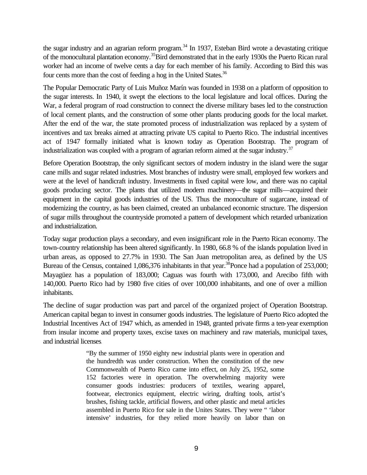the sugar industry and an agrarian reform program.<sup>34</sup> In 1937, Esteban Bird wrote a devastating critique of the monocultural plantation economy.<sup>35</sup>Bird demonstrated that in the early 1930s the Puerto Rican rural worker had an income of twelve cents a day for each member of his family. According to Bird this was four cents more than the cost of feeding a hog in the United States.<sup>36</sup>

The Popular Democratic Party of Luis Muñoz Marín was founded in 1938 on a platform of opposition to the sugar interests. In 1940, it swept the elections to the local legislature and local offices. During the War, a federal program of road construction to connect the diverse military bases led to the construction of local cement plants, and the construction of some other plants producing goods for the local market. After the end of the war, the state promoted process of industrialization was replaced by a system of incentives and tax breaks aimed at attracting private US capital to Puerto Rico. The industrial incentives act of 1947 formally initiated what is known today as Operation Bootstrap. The program of industrialization was coupled with a program of agrarian reform aimed at the sugar industry.<sup>37</sup>

Before Operation Bootstrap, the only significant sectors of modern industry in the island were the sugar cane mills and sugar related industries. Most branches of industry were small, employed few workers and were at the level of handicraft industry. Investments in fixed capital were low, and there was no capital goods producing sector. The plants that utilized modern machinery—the sugar mills—acquired their equipment in the capital goods industries of the US. Thus the monoculture of sugarcane, instead of modernizing the country, as has been claimed, created an unbalanced economic structure. The dispersion of sugar mills throughout the countryside promoted a pattern of development which retarded urbanization and industrialization.

Today sugar production plays a secondary, and even insignificant role in the Puerto Rican economy. The town-country relationship has been altered significantly. In 1980, 66.8 % of the islands population lived in urban areas, as opposed to 27.7% in 1930. The San Juan metropolitan area, as defined by the US Bureau of the Census, contained 1,086,376 inhabitants in that year.<sup>38</sup>Ponce had a population of 253,000; Mayagüez has a population of 183,000; Caguas was fourth with 173,000, and Arecibo fifth with 140,000. Puerto Rico had by 1980 five cities of over 100,000 inhabitants, and one of over a million inhabitants.

The decline of sugar production was part and parcel of the organized project of Operation Bootstrap. American capital began to invest in consumer goods industries. The legislature of Puerto Rico adopted the Industrial Incentives Act of 1947 which, as amended in 1948, granted private firms a ten-year exemption from insular income and property taxes, excise taxes on machinery and raw materials, municipal taxes, and industrial licenses.

> "By the summer of 1950 eighty new industrial plants were in operation and the hundredth was under construction. When the constitution of the new Commonwealth of Puerto Rico came into effect, on July 25, 1952, some 152 factories were in operation. The overwhelming majority were consumer goods industries: producers of textiles, wearing apparel, footwear, electronics equipment, electric wiring, drafting tools, artist's brushes, fishing tackle, artificial flowers, and other plastic and metal articles assembled in Puerto Rico for sale in the Unites States. They were " 'labor intensive' industries, for they relied more heavily on labor than on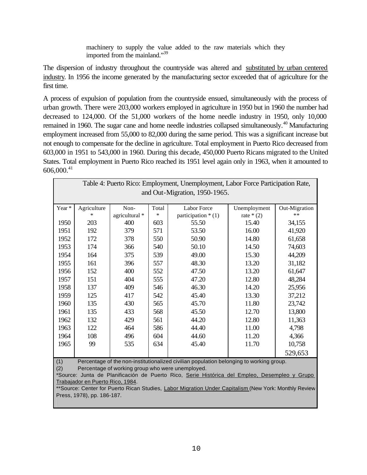machinery to supply the value added to the raw materials which they imported from the mainland."<sup>39</sup>

The dispersion of industry throughout the countryside was altered and substituted by urban centered industry. In 1956 the income generated by the manufacturing sector exceeded that of agriculture for the first time.

A process of expulsion of population from the countryside ensued, simultaneously with the process of urban growth. There were 203,000 workers employed in agriculture in 1950 but in 1960 the number had decreased to 124,000. Of the 51,000 workers of the home needle industry in 1950, only 10,000 remained in 1960. The sugar cane and home needle industries collapsed simultaneously.<sup>40</sup> Manufacturing employment increased from 55,000 to 82,000 during the same period. This was a significant increase but not enough to compensate for the decline in agriculture. Total employment in Puerto Rico decreased from 603,000 in 1951 to 543,000 in 1960. During this decade, 450,000 Puerto Ricans migrated to the United States. Total employment in Puerto Rico reached its 1951 level again only in 1963, when it amounted to  $606,000.<sup>41</sup>$ 

| Table 4: Puerto Rico: Employment, Unemployment, Labor Force Participation Rate,                                                   |                                                                                         |                |        |                      |              |               |  |
|-----------------------------------------------------------------------------------------------------------------------------------|-----------------------------------------------------------------------------------------|----------------|--------|----------------------|--------------|---------------|--|
| and Out-Migration, 1950-1965.                                                                                                     |                                                                                         |                |        |                      |              |               |  |
| Year *                                                                                                                            | Agriculture                                                                             | Non-           | Total  | Labor Force          | Unemployment | Out-Migration |  |
|                                                                                                                                   | $\ast$                                                                                  | agricultural * | $\ast$ | participation $*(1)$ | rate $*(2)$  | **            |  |
| 1950                                                                                                                              | 203                                                                                     | 400            | 603    | 55.50                | 15.40        | 34,155        |  |
| 1951                                                                                                                              | 192                                                                                     | 379            | 571    | 53.50                | 16.00        | 41,920        |  |
| 1952                                                                                                                              | 172                                                                                     | 378            | 550    | 50.90                | 14.80        | 61,658        |  |
| 1953                                                                                                                              | 174                                                                                     | 366            | 540    | 50.10                | 14.50        | 74,603        |  |
| 1954                                                                                                                              | 164                                                                                     | 375            | 539    | 49.00                | 15.30        | 44,209        |  |
| 1955                                                                                                                              | 161                                                                                     | 396            | 557    | 48.30                | 13.20        | 31,182        |  |
| 1956                                                                                                                              | 152                                                                                     | 400            | 552    | 47.50                | 13.20        | 61,647        |  |
| 1957                                                                                                                              | 151                                                                                     | 404            | 555    | 47.20                | 12.80        | 48,284        |  |
| 1958                                                                                                                              | 137                                                                                     | 409            | 546    | 46.30                | 14.20        | 25,956        |  |
| 1959                                                                                                                              | 125                                                                                     | 417            | 542    | 45.40                | 13.30        | 37,212        |  |
| 1960                                                                                                                              | 135                                                                                     | 430            | 565    | 45.70                | 11.80        | 23,742        |  |
| 1961                                                                                                                              | 135                                                                                     | 433            | 568    | 45.50                | 12.70        | 13,800        |  |
| 1962                                                                                                                              | 132                                                                                     | 429            | 561    | 44.20                | 12.80        | 11,363        |  |
| 1963                                                                                                                              | 122                                                                                     | 464            | 586    | 44.40                | 11.00        | 4,798         |  |
| 1964                                                                                                                              | 108                                                                                     | 496            | 604    | 44.60                | 11.20        | 4,366         |  |
| 1965                                                                                                                              | 99                                                                                      | 535            | 634    | 45.40                | 11.70        | 10,758        |  |
|                                                                                                                                   |                                                                                         |                |        |                      |              | 529,653       |  |
| (1)                                                                                                                               | Percentage of the non-institutionalized civilian population belonging to working group. |                |        |                      |              |               |  |
| (2)<br>Percentage of working group who were unemployed.                                                                           |                                                                                         |                |        |                      |              |               |  |
| *Source: Junta de Planificación de Puerto Rico, Serie Histórica del Empleo, Desempleo y Grupo<br>Trabajador en Puerto Rico, 1984. |                                                                                         |                |        |                      |              |               |  |
| ** Source: Center for Puerto Rican Studies, Labor Migration Under Capitalism (New York: Monthly Review                            |                                                                                         |                |        |                      |              |               |  |
| Press, 1978), pp. 186-187.                                                                                                        |                                                                                         |                |        |                      |              |               |  |
|                                                                                                                                   |                                                                                         |                |        |                      |              |               |  |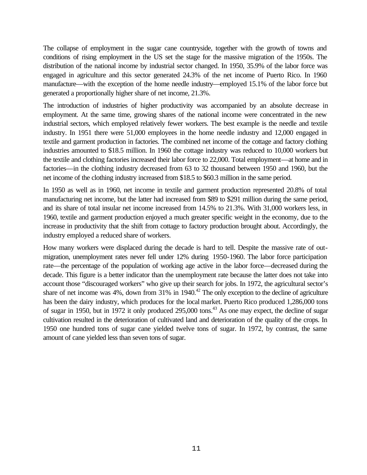The collapse of employment in the sugar cane countryside, together with the growth of towns and conditions of rising employment in the US set the stage for the massive migration of the 1950s. The distribution of the national income by industrial sector changed. In 1950, 35.9% of the labor force was engaged in agriculture and this sector generated 24.3% of the net income of Puerto Rico. In 1960 manufacture—with the exception of the home needle industry—employed 15.1% of the labor force but generated a proportionally higher share of net income, 21.3%.

The introduction of industries of higher productivity was accompanied by an absolute decrease in employment. At the same time, growing shares of the national income were concentrated in the new industrial sectors, which employed relatively fewer workers. The best example is the needle and textile industry. In 1951 there were 51,000 employees in the home needle industry and 12,000 engaged in textile and garment production in factories. The combined net income of the cottage and factory clothing industries amounted to \$18.5 million. In 1960 the cottage industry was reduced to 10,000 workers but the textile and clothing factories increased their labor force to 22,000. Total employment—at home and in factories—in the clothing industry decreased from 63 to 32 thousand between 1950 and 1960, but the net income of the clothing industry increased from \$18.5 to \$60.3 million in the same period.

In 1950 as well as in 1960, net income in textile and garment production represented 20.8% of total manufacturing net income, but the latter had increased from \$89 to \$291 million during the same period, and its share of total insular net income increased from 14.5% to 21.3%. With 31,000 workers less, in 1960, textile and garment production enjoyed a much greater specific weight in the economy, due to the increase in productivity that the shift from cottage to factory production brought about. Accordingly, the industry employed a reduced share of workers.

How many workers were displaced during the decade is hard to tell. Despite the massive rate of outmigration, unemployment rates never fell under 12% during 1950-1960. The labor force participation rate—the percentage of the population of working age active in the labor force—decreased during the decade. This figure is a better indicator than the unemployment rate because the latter does not take into account those "discouraged workers" who give up their search for jobs. In 1972, the agricultural sector's share of net income was  $4\%$ , down from  $31\%$  in  $1940<sup>42</sup>$ . The only exception to the decline of agriculture has been the dairy industry, which produces for the local market. Puerto Rico produced 1,286,000 tons of sugar in 1950, but in 1972 it only produced 295,000 tons.<sup>43</sup> As one may expect, the decline of sugar cultivation resulted in the deterioration of cultivated land and deterioration of the quality of the crops. In 1950 one hundred tons of sugar cane yielded twelve tons of sugar. In 1972, by contrast, the same amount of cane yielded less than seven tons of sugar.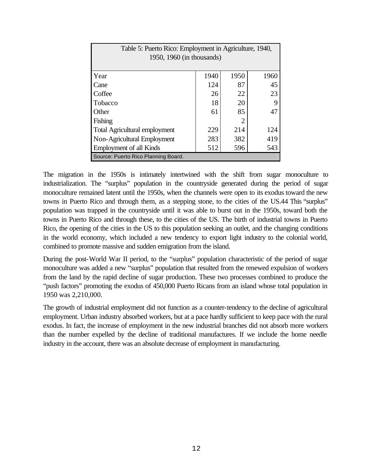| Table 5: Puerto Rico: Employment in Agriculture, 1940,<br>1950, 1960 (in thousands) |      |      |      |  |  |  |
|-------------------------------------------------------------------------------------|------|------|------|--|--|--|
| Year                                                                                | 1940 | 1950 | 1960 |  |  |  |
| Cane                                                                                | 124  | 87   | 45   |  |  |  |
| Coffee                                                                              | 26   | 22   | 23   |  |  |  |
| Tobacco                                                                             | 18   | 20   | 9    |  |  |  |
| Other                                                                               | 61   | 85   | 47   |  |  |  |
| Fishing                                                                             |      | 2    |      |  |  |  |
| <b>Total Agricultural employment</b>                                                | 229  | 214  | 124  |  |  |  |
| Non-Agricultural Employment                                                         | 283  | 382  | 419  |  |  |  |
| <b>Employment of all Kinds</b>                                                      | 512  | 596  | 543  |  |  |  |
| Source: Puerto Rico Planning Board.                                                 |      |      |      |  |  |  |

The migration in the 1950s is intimately intertwined with the shift from sugar monoculture to industrialization. The "surplus" population in the countryside generated during the period of sugar monoculture remained latent until the 1950s, when the channels were open to its exodus toward the new towns in Puerto Rico and through them, as a stepping stone, to the cities of the US.44 This "surplus" population was trapped in the countryside until it was able to burst out in the 1950s, toward both the towns in Puerto Rico and through these, to the cities of the US. The birth of industrial towns in Puerto Rico, the opening of the cities in the US to this population seeking an outlet, and the changing conditions in the world economy, which included a new tendency to export light industry to the colonial world, combined to promote massive and sudden emigration from the island.

During the post-World War II period, to the "surplus" population characteristic of the period of sugar monoculture was added a new "surplus" population that resulted from the renewed expulsion of workers from the land by the rapid decline of sugar production. These two processes combined to produce the "push factors" promoting the exodus of 450,000 Puerto Ricans from an island whose total population in 1950 was 2,210,000.

The growth of industrial employment did not function as a counter-tendency to the decline of agricultural employment. Urban industry absorbed workers, but at a pace hardly sufficient to keep pace with the rural exodus. In fact, the increase of employment in the new industrial branches did not absorb more workers than the number expelled by the decline of traditional manufactures. If we include the home needle industry in the account, there was an absolute decrease of employment in manufacturing.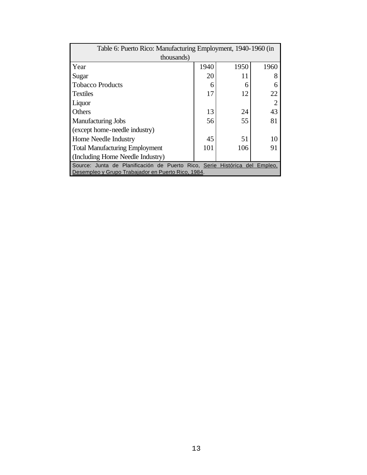| Table 6: Puerto Rico: Manufacturing Employment, 1940-1960 (in              |      |      |      |  |  |  |
|----------------------------------------------------------------------------|------|------|------|--|--|--|
| thousands)                                                                 |      |      |      |  |  |  |
| Year                                                                       | 1940 | 1950 | 1960 |  |  |  |
| Sugar                                                                      | 20   | 11   |      |  |  |  |
| <b>Tobacco Products</b>                                                    | 6    | 6    |      |  |  |  |
| <b>Textiles</b>                                                            | 17   | 12   | 22   |  |  |  |
| Liquor                                                                     |      |      |      |  |  |  |
| Others                                                                     | 13   | 24   | 43   |  |  |  |
| <b>Manufacturing Jobs</b>                                                  | 56   | 55   | 81   |  |  |  |
| (except home-needle industry)                                              |      |      |      |  |  |  |
| Home Needle Industry                                                       | 45   | 51   | 10   |  |  |  |
| <b>Total Manufacturing Employment</b>                                      | 101  | 106  | 91   |  |  |  |
| (Including Home Needle Industry)                                           |      |      |      |  |  |  |
| Source: Junta de Planificación de Puerto Rico, Serie Histórica del Empleo. |      |      |      |  |  |  |
| Desempleo y Grupo Trabajador en Puerto Rico, 1984.                         |      |      |      |  |  |  |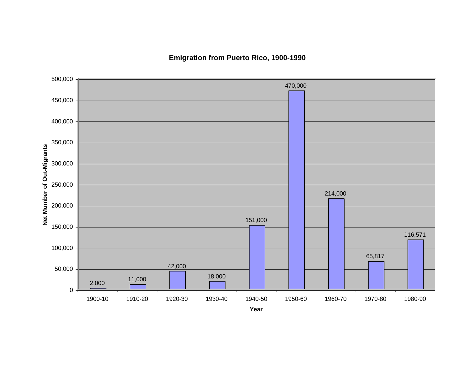**Emigration from Puerto Rico, 1900-1990**



**Year**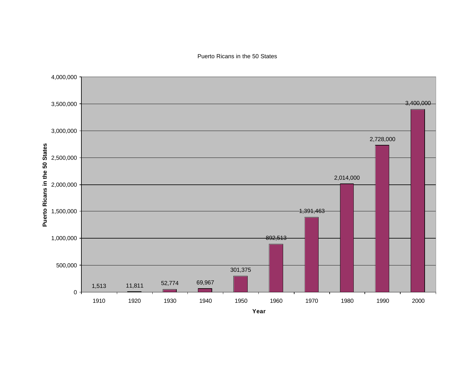Puerto Ricans in the 50 States

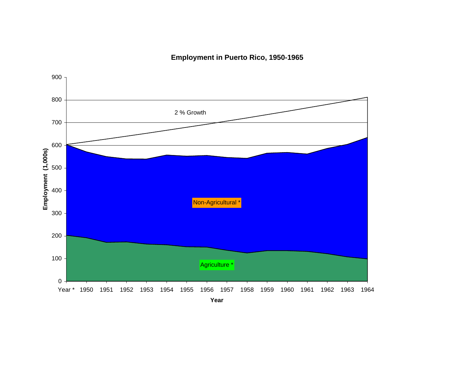**Employment in Puerto Rico, 1950-1965**

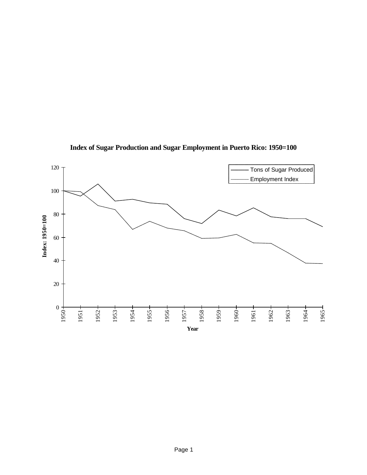

**Index of Sugar Production and Sugar Employment in Puerto Rico: 1950=100**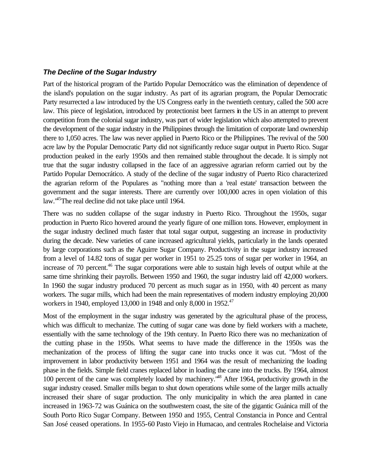### *The Decline of the Sugar Industry*

Part of the historical program of the Partido Popular Democrático was the elimination of dependence of the island's population on the sugar industry. As part of its agrarian program, the Popular Democratic Party resurrected a law introduced by the US Congress early in the twentieth century, called the 500 acre law. This piece of legislation, introduced by protectionist beet farmers in the US in an attempt to prevent competition from the colonial sugar industry, was part of wider legislation which also attempted to prevent the development of the sugar industry in the Philippines through the limitation of corporate land ownership there to 1,050 acres. The law was never applied in Puerto Rico or the Philippines. The revival of the 500 acre law by the Popular Democratic Party did not significantly reduce sugar output in Puerto Rico. Sugar production peaked in the early 1950s and then remained stable throughout the decade. It is simply not true that the sugar industry collapsed in the face of an aggressive agrarian reform carried out by the Partido Popular Democrático. A study of the decline of the sugar industry of Puerto Rico characterized the agrarian reform of the Populares as "nothing more than a 'real estate' transaction between the government and the sugar interests. There are currently over 100,000 acres in open violation of this law."<sup>45</sup>The real decline did not take place until 1964.

There was no sudden collapse of the sugar industry in Puerto Rico. Throughout the 1950s, sugar production in Puerto Rico hovered around the yearly figure of one million tons. However, employment in the sugar industry declined much faster that total sugar output, suggesting an increase in productivity during the decade. New varieties of cane increased agricultural yields, particularly in the lands operated by large corporations such as the Aguirre Sugar Company. Productivity in the sugar industry increased from a level of 14.82 tons of sugar per worker in 1951 to 25.25 tons of sugar per worker in 1964, an increase of 70 percent.<sup>46</sup> The sugar corporations were able to sustain high levels of output while at the same time shrinking their payrolls. Between 1950 and 1960, the sugar industry laid off 42,000 workers. In 1960 the sugar industry produced 70 percent as much sugar as in 1950, with 40 percent as many workers. The sugar mills, which had been the main representatives of modern industry employing 20,000 workers in 1940, employed 13,000 in 1948 and only 8,000 in 1952.<sup>47</sup>

Most of the employment in the sugar industry was generated by the agricultural phase of the process, which was difficult to mechanize. The cutting of sugar cane was done by field workers with a machete, essentially with the same technology of the 19th century. In Puerto Rico there was no mechanization of the cutting phase in the 1950s. What seems to have made the difference in the 1950s was the mechanization of the process of lifting the sugar cane into trucks once it was cut. "Most of the improvement in labor productivity between 1951 and 1964 was the result of mechanizing the loading phase in the fields. Simple field cranes replaced labor in loading the cane into the trucks. By 1964, almost 100 percent of the cane was completely loaded by machinery."<sup>48</sup> After 1964, productivity growth in the sugar industry ceased. Smaller mills began to shut down operations while some of the larger mills actually increased their share of sugar production. The only municipality in which the area planted in cane increased in 1963-72 was Guánica on the southwestern coast, the site of the gigantic Guánica mill of the South Porto Rico Sugar Company. Between 1950 and 1955, Central Constancia in Ponce and Central San José ceased operations. In 1955-60 Pasto Viejo in Humacao, and centrales Rochelaise and Victoria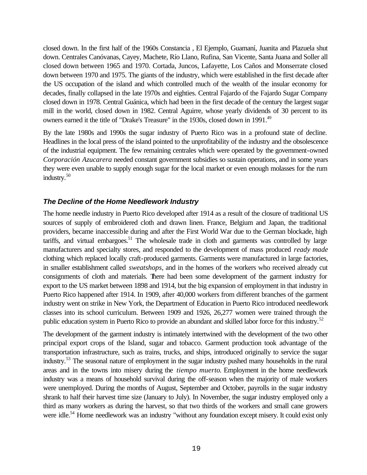closed down. In the first half of the 1960s Constancia , El Ejemplo, Guamaní, Juanita and Plazuela shut down. Centrales Canóvanas, Cayey, Machete, Río Llano, Rufina, San Vicente, Santa Juana and Soller all closed down between 1965 and 1970. Cortada, Juncos, Lafayette, Los Caños and Monserrate closed down between 1970 and 1975. The giants of the industry, which were established in the first decade after the US occupation of the island and which controlled much of the wealth of the insular economy for decades, finally collapsed in the late 1970s and eighties. Central Fajardo of the Fajardo Sugar Company closed down in 1978. Central Guánica, which had been in the first decade of the century the largest sugar mill in the world, closed down in 1982. Central Aguirre, whose yearly dividends of 30 percent to its owners earned it the title of "Drake's Treasure" in the 1930s, closed down in 1991.<sup>49</sup>

By the late 1980s and 1990s the sugar industry of Puerto Rico was in a profound state of decline. Headlines in the local press of the island pointed to the unprofitability of the industry and the obsolescence of the industrial equipment. The few remaining centrales which were operated by the government-owned *Corporación Azucarera* needed constant government subsidies so sustain operations, and in some years they were even unable to supply enough sugar for the local market or even enough molasses for the rum industry.<sup>50</sup>

### *The Decline of the Home Needlework Industry*

The home needle industry in Puerto Rico developed after 1914 as a result of the closure of traditional US sources of supply of embroidered cloth and drawn linen. France, Belgium and Japan, the traditional providers, became inaccessible during and after the First World War due to the German blockade, high tariffs, and virtual embargoes. $51$  The wholesale trade in cloth and garments was controlled by large manufacturers and specialty stores, and responded to the development of mass produced *ready made* clothing which replaced locally craft-produced garments. Garments were manufactured in large factories, in smaller establishment called *sweatshops*, and in the homes of the workers who received already cut consignments of cloth and materials. There had been some development of the garment industry for export to the US market between 1898 and 1914, but the big expansion of employment in that industry in Puerto Rico happened after 1914. In 1909, after 40,000 workers from different branches of the garment industry went on strike in New York, the Department of Education in Puerto Rico introduced needlework classes into its school curriculum. Between 1909 and 1926, 26,277 women were trained through the public education system in Puerto Rico to provide an abundant and skilled labor force for this industry.<sup>52</sup>

The development of the garment industry is intimately intertwined with the development of the two other principal export crops of the Island, sugar and tobacco. Garment production took advantage of the transportation infrastructure, such as trains, trucks, and ships, introduced originally to service the sugar industry.<sup>53</sup> The seasonal nature of employment in the sugar industry pushed many households in the rural areas and in the towns into misery during the *tiempo muerto*. Employment in the home needlework industry was a means of household survival during the off-season when the majority of male workers were unemployed. During the months of August, September and October, payrolls in the sugar industry shrank to half their harvest time size (January to July). In November, the sugar industry employed only a third as many workers as during the harvest, so that two thirds of the workers and small cane growers were idle.<sup>54</sup> Home needlework was an industry "without any foundation except misery. It could exist only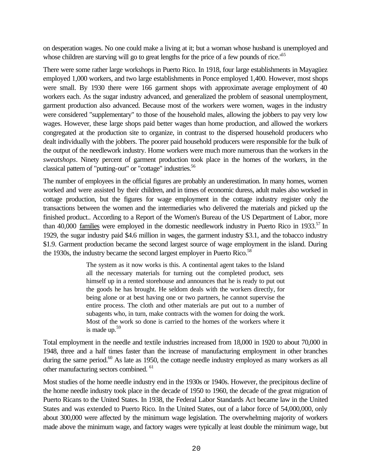on desperation wages. No one could make a living at it; but a woman whose husband is unemployed and whose children are starving will go to great lengths for the price of a few pounds of rice.<sup>165</sup>

There were some rather large workshops in Puerto Rico. In 1918, four large establishments in Mayagüez employed 1,000 workers, and two large establishments in Ponce employed 1,400. However, most shops were small. By 1930 there were 166 garment shops with approximate average employment of 40 workers each. As the sugar industry advanced, and generalized the problem of seasonal unemployment, garment production also advanced. Because most of the workers were women, wages in the industry were considered "supplementary" to those of the household males, allowing the jobbers to pay very low wages. However, these large shops paid better wages than home production, and allowed the workers congregated at the production site to organize, in contrast to the dispersed household producers who dealt individually with the jobbers. The poorer paid household producers were responsible for the bulk of the output of the needlework industry. Home workers were much more numerous than the workers in the *sweatshops*. Ninety percent of garment production took place in the homes of the workers, in the classical pattern of "putting-out" or "cottage" industries.<sup>56</sup>

The number of employees in the official figures are probably an underestimation. In many homes, women worked and were assisted by their children, and in times of economic duress, adult males also worked in cottage production, but the figures for wage employment in the cottage industry register only the transactions between the women and the intermediaries who delivered the materials and picked up the finished product.. According to a Report of the Women's Bureau of the US Department of Labor, more than 40,000 families were employed in the domestic needlework industry in Puerto Rico in 1933.<sup>57</sup> In 1929, the sugar industry paid \$4.6 million in wages, the garment industry \$3.1, and the tobacco industry \$1.9. Garment production became the second largest source of wage employment in the island. During the 1930s, the industry became the second largest employer in Puerto Rico.<sup>58</sup>

> The system as it now works is this. A continental agent takes to the Island all the necessary materials for turning out the completed product, sets himself up in a rented storehouse and announces that he is ready to put out the goods he has brought. He seldom deals with the workers directly, for being alone or at best having one or two partners, he cannot supervise the entire process. The cloth and other materials are put out to a number of subagents who, in turn, make contracts with the women for doing the work. Most of the work so done is carried to the homes of the workers where it is made up. $59$

Total employment in the needle and textile industries increased from 18,000 in 1920 to about 70,000 in 1948, three and a half times faster than the increase of manufacturing employment in other branches during the same period.<sup>60</sup> As late as 1950, the cottage needle industry employed as many workers as all other manufacturing sectors combined. <sup>61</sup>

Most studies of the home needle industry end in the 1930s or 1940s. However, the precipitous decline of the home needle industry took place in the decade of 1950 to 1960, the decade of the great migration of Puerto Ricans to the United States. In 1938, the Federal Labor Standards Act became law in the United States and was extended to Puerto Rico. In the United States, out of a labor force of 54,000,000, only about 300,000 were affected by the minimum wage legislation. The overwhelming majority of workers made above the minimum wage, and factory wages were typically at least double the minimum wage, but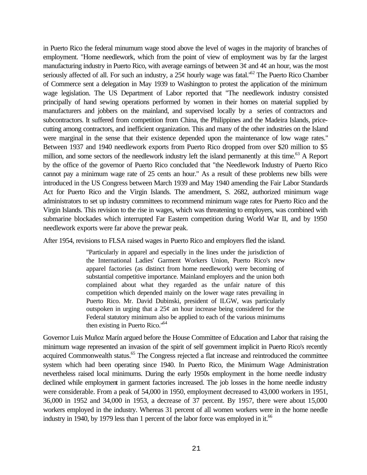in Puerto Rico the federal minumum wage stood above the level of wages in the majority of branches of employment. "Home needlework, which from the point of view of employment was by far the largest manufacturing industry in Puerto Rico, with average earnings of between  $3¢$  and  $4¢$  an hour, was the most seriously affected of all. For such an industry, a 25¢ hourly wage was fatal.<sup>'62</sup> The Puerto Rico Chamber of Commerce sent a delegation in May 1939 to Washington to protest the application of the minimum wage legislation. The US Department of Labor reported that "The needlework industry consisted principally of hand sewing operations performed by women in their homes on material supplied by manufacturers and jobbers on the mainland, and supervised locally by a series of contractors and subcontractors. It suffered from competition from China, the Philippines and the Madeira Islands, pricecutting among contractors, and inefficient organization. This and many of the other industries on the Island were marginal in the sense that their existence depended upon the maintenance of low wage rates." Between 1937 and 1940 needlework exports from Puerto Rico dropped from over \$20 million to \$5 million, and some sectors of the needlework industry left the island permanently at this time.<sup>63</sup> A Report by the office of the governor of Puerto Rico concluded that "the Needlework Industry of Puerto Rico cannot pay a minimum wage rate of 25 cents an hour." As a result of these problems new bills were introduced in the US Congress between March 1939 and May 1940 amending the Fair Labor Standards Act for Puerto Rico and the Virgin Islands. The amendment, S. 2682, authorized minimum wage administrators to set up industry committees to recommend minimum wage rates for Puerto Rico and the Virgin Islands. This revision to the rise in wages, which was threatening to employers, was combined with submarine blockades which interrupted Far Eastern competition during World War II, and by 1950 needlework exports were far above the prewar peak.

After 1954, revisions to FLSA raised wages in Puerto Rico and employers fled the island.

"Particularly in apparel and especially in the lines under the jurisdiction of the International Ladies' Garment Workers Union, Puerto Rico's new apparel factories (as distinct from home needlework) were becoming of substantial competitive importance. Mainland employers and the union both complained about what they regarded as the unfair nature of this competition which depended mainly on the lower wage rates prevailing in Puerto Rico. Mr. David Dubinski, president of ILGW, was particularly outspoken in urging that a  $25¢$  an hour increase being considered for the Federal statutory minimum also be applied to each of the various minimums then existing in Puerto Rico."<sup>64</sup>

Governor Luis Muñoz Marín argued before the House Committee of Education and Labor that raising the minimum wage represented an invasion of the spirit of self government implicit in Puerto Rico's recently acquired Commonwealth status.<sup>65</sup> The Congress rejected a flat increase and reintroduced the committee system which had been operating since 1940. In Puerto Rico, the Minimum Wage Administration nevertheless raised local minimums. During the early 1950s employment in the home needle industry declined while employment in garment factories increased. The job losses in the home needle industry were considerable. From a peak of 54,000 in 1950, employment decreased to 43,000 workers in 1951, 36,000 in 1952 and 34,000 in 1953, a decrease of 37 percent. By 1957, there were about 15,000 workers employed in the industry. Whereas 31 percent of all women workers were in the home needle industry in 1940, by 1979 less than 1 percent of the labor force was employed in it.<sup>66</sup>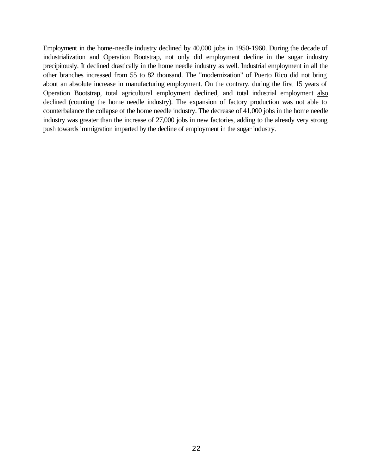Employment in the home-needle industry declined by 40,000 jobs in 1950-1960. During the decade of industrialization and Operation Bootstrap, not only did employment decline in the sugar industry precipitously. It declined drastically in the home needle industry as well. Industrial employment in all the other branches increased from 55 to 82 thousand. The "modernization" of Puerto Rico did not bring about an absolute increase in manufacturing employment. On the contrary, during the first 15 years of Operation Bootstrap, total agricultural employment declined, and total industrial employment also declined (counting the home needle industry). The expansion of factory production was not able to counterbalance the collapse of the home needle industry. The decrease of 41,000 jobs in the home needle industry was greater than the increase of 27,000 jobs in new factories, adding to the already very strong push towards immigration imparted by the decline of employment in the sugar industry.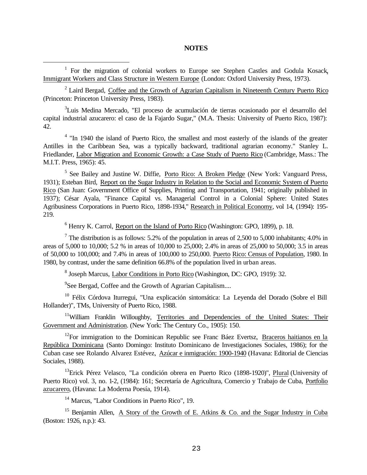#### **NOTES**

<sup>1</sup> For the migration of colonial workers to Europe see Stephen Castles and Godula Kosack, Immigrant Workers and Class Structure in Western Europe (London: Oxford University Press, 1973).

i

 $2$  Laird Bergad, Coffee and the Growth of Agrarian Capitalism in Nineteenth Century Puerto Rico (Princeton: Princeton University Press, 1983).

<sup>3</sup>Luis Medina Mercado, "El proceso de acumulación de tierras ocasionado por el desarrollo del capital industrial azucarero: el caso de la Fajardo Sugar," (M.A. Thesis: University of Puerto Rico, 1987): 42.

<sup>4</sup> "In 1940 the island of Puerto Rico, the smallest and most easterly of the islands of the greater Antilles in the Caribbean Sea, was a typically backward, traditional agrarian economy." Stanley L. Friedlander, Labor Migration and Economic Growth: a Case Study of Puerto Rico (Cambridge, Mass.: The M.I.T. Press, 1965): 45.

<sup>5</sup> See Bailey and Justine W. Diffie, Porto Rico: A Broken Pledge (New York: Vanguard Press, 1931); Esteban Bird, Report on the Sugar Industry in Relation to the Social and Economic System of Puerto Rico (San Juan: Government Office of Supplies, Printing and Transportation, 1941; originally published in 1937); César Ayala, "Finance Capital vs. Managerial Control in a Colonial Sphere: United States Agribusiness Corporations in Puerto Rico, 1898-1934," Research in Political Economy, vol 14, (1994): 195- 219.

<sup>6</sup> Henry K. Carrol, Report on the Island of Porto Rico (Washington: GPO, 1899), p. 18.

<sup>7</sup> The distribution is as follows: 5.2% of the population in areas of 2,500 to 5,000 inhabitants; 4.0% in areas of 5,000 to 10,000; 5.2 % in areas of 10,000 to 25,000; 2.4% in areas of 25,000 to 50,000; 3.5 in areas of 50,000 to 100,000; and 7.4% in areas of 100,000 to 250,000. Puerto Rico: Census of Population, 1980. In 1980, by contrast, under the same definition 66.8% of the population lived in urban areas.

<sup>8</sup> Joseph Marcus, Labor Conditions in Porto Rico (Washington, DC: GPO, 1919): 32.

<sup>9</sup>See Bergad, Coffee and the Growth of Agrarian Capitalism....

<sup>10</sup> Félix Córdova Iturregui, "Una explicación sintomática: La Leyenda del Dorado (Sobre el Bill Hollander)", TMs, University of Puerto Rico, 1988.

<sup>11</sup>William Franklin Willoughby, Territories and Dependencies of the United States: Their Government and Administration. (New York: The Century Co., 1905): 150.

 $12$ For immigration to the Dominican Republic see Franc Báez Evertsz, Braceros haitianos en la República Dominicana (Santo Domingo: Instituto Dominicano de Investigaciones Sociales, 1986); for the Cuban case see Rolando Alvarez Estévez, Azúcar e inmigración: 1900-1940 (Havana: Editorial de Ciencias Sociales, 1988).

<sup>13</sup>Erick Pérez Velasco, "La condición obrera en Puerto Rico (1898-1920)", Plural (University of Puerto Rico) vol. 3, no. 1-2, (1984): 161; Secretaría de Agricultura, Comercio y Trabajo de Cuba, Portfolio azucarero, (Havana: La Moderna Poesía, 1914).

<sup>14</sup> Marcus, "Labor Conditions in Puerto Rico", 19.

<sup>15</sup> Benjamin Allen, A Story of the Growth of E. Atkins & Co. and the Sugar Industry in Cuba (Boston: 1926, n.p.): 43.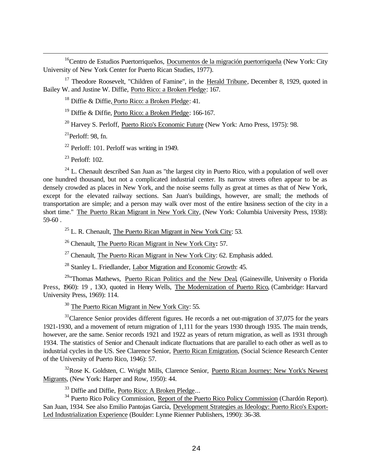<sup>16</sup>Centro de Estudios Puertorriqueños, Documentos de la migración puertorriqueña (New York: City University of New York Center for Puerto Rican Studies, 1977).

<sup>17</sup> Theodore Roosevelt, "Children of Famine", in the Herald Tribune, December 8, 1929, quoted in Bailey W. and Justine W. Diffie, Porto Rico: a Broken Pledge: 167.

<sup>18</sup> Diffie & Diffie, Porto Rico: a Broken Pledge: 41.

<sup>19</sup> Diffie & Diffie, Porto Rico: a Broken Pledge: 166-167.

<sup>20</sup> Harvey S. Perloff, Puerto Rico's Economic Future (New York: Arno Press, 1975): 98.

 $^{21}$ Perloff: 98, fn.

i

<sup>22</sup> Perloff: 101. Perloff was writing in 1949.

 $23$  Perloff: 102.

 $24$  L. Chenault described San Juan as "the largest city in Puerto Rico, with a population of well over one hundred thousand, but not a complicated industrial center. Its narrow streets often appear to be as densely crowded as places in New York, and the noise seems fully as great at times as that of New York, except for the elevated railway sections. San Juan's buildings, however, are small; the methods of transportation are simple; and a person may walk over most of the entire business section of the city in a short time." The Puerto Rican Migrant in New York City, (New York: Columbia University Press, 1938): 59-60 .

 $^{25}$  L. R. Chenault. The Puerto Rican Migrant in New York City: 53.

<sup>26</sup> Chenault, The Puerto Rican Migrant in New York City**:** 57.

 $27$  Chenault, The Puerto Rican Migrant in New York City: 62. Emphasis added.

<sup>28</sup> Stanley L. Friedlander, Labor Migration and Economic Growth: 45.

<sup>29</sup> Thomas Mathews, Puerto Rican Politics and the New Deal, (Gainesville, University o Florida Press, 1960): 19, 13O, quoted in Henry Wells, The Modernization of Puerto Rico, (Cambridge: Harvard University Press, 1969): 114.

<sup>30</sup> The Puerto Rican Migrant in New York City: 55.

 $31$ Clarence Senior provides different figures. He records a net out-migration of 37,075 for the years 1921-1930, and a movement of return migration of 1,111 for the years 1930 through 1935. The main trends, however, are the same. Senior records 1921 and 1922 as years of return migration, as well as 1931 through 1934. The statistics of Senior and Chenault indicate fluctuations that are parallel to each other as well as to industrial cycles in the US. See Clarence Senior, Puerto Rican Emigration, (Social Science Research Center of the University of Puerto Rico, 1946): 57.

<sup>32</sup>Rose K. Goldsten, C. Wright Mills, Clarence Senior, Puerto Rican Journey: New York's Newest Migrants, (New York: Harper and Row, 1950): 44.

<sup>33</sup> Diffie and Diffie, Porto Rico: A Broken Pledge...

<sup>34</sup> Puerto Rico Policy Commission, Report of the Puerto Rico Policy Commission (Chardón Report). San Juan, 1934. See also Emilio Pantojas García, Development Strategies as Ideology: Puerto Rico's Export-Led Industrialization Experience (Boulder: Lynne Rienner Publishers, 1990): 36-38.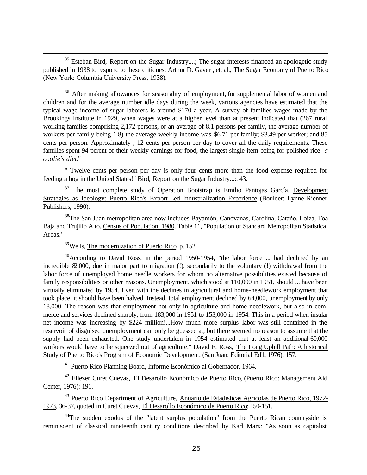$35$  Esteban Bird, Report on the Sugar Industry....; The sugar interests financed an apologetic study published in 1938 to respond to these critiques: Arthur D. Gayer , et. al., The Sugar Economy of Puerto Rico (New York: Columbia University Press, 1938).

<sup>36</sup> After making allowances for seasonality of employment, for supplemental labor of women and children and for the average number idle days during the week, various agencies have estimated that the typical wage income of sugar laborers is around \$170 a year. A survey of families wages made by the Brookings Institute in 1929, when wages were at a higher level than at present indicated that (267 rural working families comprising 2,172 persons, or an average of 8.1 persons per family, the average number of workers per family being 1.8) the average weekly income was \$6.71 per family; \$3.49 per worker; and 85 cents per person. Approximately , 12 cents per person per day to cover all the daily requirements. These families spent 94 percnt of their weekly earnings for food, the largest single item being for polished rice--*a coolie's diet*."

" Twelve cents per person per day is only four cents more than the food expense required for feeding a hog in the United States!" Bird, Report on the Sugar Industry...:. 43.

<sup>37</sup> The most complete study of Operation Bootstrap is Emilio Pantojas García, Development Strategies as Ideology: Puerto Rico's Export-Led Industrialization Experience (Boulder: Lynne Rienner Publishers, 1990).

<sup>38</sup>The San Juan metropolitan area now includes Bayamón, Canóvanas, Carolina, Cataño, Loiza, Toa Baja and Trujillo Alto. Census of Population, 1980. Table 11, "Population of Standard Metropolitan Statistical Areas."

 $39$ Wells, The modernization of Puerto Rico, p. 152.

i

<sup>40</sup>According to David Ross, in the period 1950-1954, "the labor force ... had declined by an incredible 82,000, due in major part to migration (!), secondarily to the voluntary (!) withdrawal from the labor force of unemployed home needle workers for whom no alternative possibilities existed because of family responsibilities or other reasons. Unemployment, which stood at 110,000 in 1951, should ... have been virtually eliminated by 1954. Even with the declines in agricultural and home-needlework employment that took place, it should have been halved. Instead, total employment declined by 64,000, unemployment by only 18,000. The reason was that employment not only in agriculture and home-needlework, but also in commerce and services declined sharply, from 183,000 in 1951 to 153,000 in 1954. This in a period when insular net income was increasing by \$224 million!...How much more surplus labor was still contained in the reservoir of disguised unemployment can only be guessed at, but there seemed no reason to assume that the supply had been exhausted. One study undertaken in 1954 estimated that at least an additional 60,000 workers would have to be squeezed out of agriculture." David F. Ross, The Long Uphill Path: A historical Study of Puerto Rico's Program of Economic Development, (San Juan: Editorial Edil, 1976): 157.

<sup>41</sup> Puerto Rico Planning Board, Informe Económico al Gobernador, 1964.

<sup>42</sup> Eliezer Curet Cuevas, El Desarollo Económico de Puerto Rico, (Puerto Rico: Management Aid Center, 1976): 191.

<sup>43</sup> Puerto Rico Department of Agriculture, Anuario de Estadísticas Agrícolas de Puerto Rico, 1972-1973, 36-37, quoted in Curet Cuevas, El Desarollo Económico de Puerto Rico: 150-151.

<sup>44</sup>The sudden exodus of the "latent surplus population" from the Puerto Rican countryside is reminiscent of classical nineteenth century conditions described by Karl Marx: "As soon as capitalist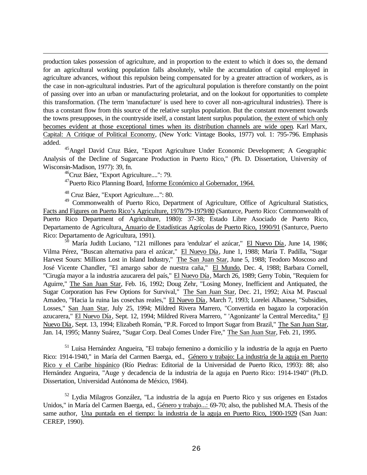production takes possession of agriculture, and in proportion to the extent to which it does so, the demand for an agricultural working population falls absolutely, while the accumulation of capital employed in agriculture advances, without this repulsion being compensated for by a greater attraction of workers, as is the case in non-agricultural industries. Part of the agricultural population is therefore constantly on the point of passing over into an urban or manufacturing proletariat, and on the lookout for opportunities to complete this transformation. (The term 'manufacture' is used here to cover all non-agricultural industries). There is thus a constant flow from this source of the relative surplus population. But the constant movement towards the towns presupposes, in the countryside itself, a constant latent surplus population, the extent of which only becomes evident at those exceptional times when its distribution channels are wide open. Karl Marx, Capital: A Critique of Political Economy, (New York: Vintage Books, 1977) vol. 1: 795-796. Emphasis added.

<sup>45</sup>Angel David Cruz Báez, "Export Agriculture Under Economic Development; A Geographic Analysis of the Decline of Sugarcane Production in Puerto Rico," (Ph. D. Dissertation, University of Wisconsin-Madison, 1977): 39, fn.

<sup>46</sup>Cruz Báez, "Export Agriculture....": 79.

i

<sup>47</sup>Puerto Rico Planning Board, Informe Económico al Gobernador, 1964.

<sup>48</sup> Cruz Báez, "Export Agriculture....": 80.

<sup>49</sup> Commonwealth of Puerto Rico, Department of Agriculture, Office of Agricultural Statistics, Facts and Figures on Puerto Rico's Agriculture, 1978/79-1979/80 (Santurce, Puerto Rico: Commonwealth of Puerto Rico Department of Agriculture, 1980): 37-38; Estado Libre Asociado de Puerto Rico, Departamento de Agricultura, Anuario de Estadísticas Agrícolas de Puerto Rico, 1990/91 (Santurce, Puerto Rico: Departamento de Agricultura, 1991).

 $50$  María Judith Luciano, "121 millones para 'endulzar' el azúcar," El Nuevo Día, June 14, 1986; Vilma Pérez, "Buscan alternativa para el azúcar," El Nuevo Día, June 1, 1988; María T. Padilla, "Sugar Harvest Sours: Millions Lost in Island Industry," The San Juan Star, June 5, 1988; Teodoro Moscoso and José Vicente Chandler, "El amargo sabor de nuestra caña," El Mundo, Dec. 4, 1988; Barbara Cornell, "Cirugía mayor a la industria azucarera del país," El Nuevo Día, March 26, 1989; Gerry Tobin, "Requiem for Aguirre," The San Juan Star, Feb. 16, 1992; Doug Zehr, "Losing Money, Inefficient and Antiquated, the Sugar Corporation has Few Options for Survival," The San Juan Star, Dec. 21, 1992; Aixa M. Pascual Amadeo, "Hacia la ruina las cosechas reales," El Nuevo Día, March 7, 1993; Lorelei Albanese, "Subsidies, Losses," San Juan Star, July 25, 1994; Mildred Rivera Marrero, "Convertida en bagazo la corporación azucarera," El Nuevo Día, Sept. 12, 1994; Mildred Rivera Marrero, " 'Agonizante' la Central Mercedita," El Nuevo Día, Sept. 13, 1994; Elizabeth Román, "P.R. Forced to Import Sugar from Brazil," The San Juan Star, Jan. 14, 1995; Manny Suárez, "Sugar Corp. Deal Comes Under Fire," The San Juan Star, Feb. 21, 1995.

<sup>51</sup> Luisa Hernández Angueira, "El trabajo femenino a domicilio y la industria de la aguja en Puerto Rico: 1914-1940," in María del Carmen Baerga, ed., Género y trabajo: La industria de la aguja en Puerto Rico y el Caribe hispánico (Río Piedras: Editorial de la Universidad de Puerto Rico, 1993): 88; also Hernández Angueira, "Auge y decadencia de la industria de la aguja en Puerto Rico: 1914-1940" (Ph.D. Dissertation, Universidad Autónoma de México, 1984).

<sup>52</sup> Lydia Milagros González, "La industria de la aguja en Puerto Rico y sus orígenes en Estados Unidos," in María del Carmen Baerga, ed., Género y trabajo...: 69-70; also, the published M.A. Thesis of the same author, Una puntada en el tiempo: la industria de la aguja en Puerto Rico, 1900-1929 (San Juan: CEREP, 1990).